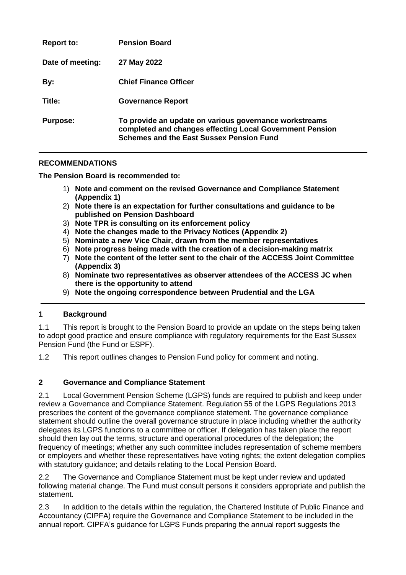| <b>Report to:</b> | <b>Pension Board</b>                                                                                                                                                  |
|-------------------|-----------------------------------------------------------------------------------------------------------------------------------------------------------------------|
| Date of meeting:  | 27 May 2022                                                                                                                                                           |
| By:               | <b>Chief Finance Officer</b>                                                                                                                                          |
| Title:            | <b>Governance Report</b>                                                                                                                                              |
| <b>Purpose:</b>   | To provide an update on various governance workstreams<br>completed and changes effecting Local Government Pension<br><b>Schemes and the East Sussex Pension Fund</b> |

#### **RECOMMENDATIONS**

**The Pension Board is recommended to:**

- 1) **Note and comment on the revised Governance and Compliance Statement (Appendix 1)**
- 2) **Note there is an expectation for further consultations and guidance to be published on Pension Dashboard**
- 3) **Note TPR is consulting on its enforcement policy**
- 4) **Note the changes made to the Privacy Notices (Appendix 2)**
- 5) **Nominate a new Vice Chair, drawn from the member representatives**
- 6) **Note progress being made with the creation of a decision-making matrix**
- 7) **Note the content of the letter sent to the chair of the ACCESS Joint Committee (Appendix 3)**
- 8) **Nominate two representatives as observer attendees of the ACCESS JC when there is the opportunity to attend**
- 9) **Note the ongoing correspondence between Prudential and the LGA**

#### **1 Background**

1.1 This report is brought to the Pension Board to provide an update on the steps being taken to adopt good practice and ensure compliance with regulatory requirements for the East Sussex Pension Fund (the Fund or ESPF).

1.2 This report outlines changes to Pension Fund policy for comment and noting.

#### **2 Governance and Compliance Statement**

2.1 Local Government Pension Scheme (LGPS) funds are required to publish and keep under review a Governance and Compliance Statement. Regulation 55 of the LGPS Regulations 2013 prescribes the content of the governance compliance statement. The governance compliance statement should outline the overall governance structure in place including whether the authority delegates its LGPS functions to a committee or officer. If delegation has taken place the report should then lay out the terms, structure and operational procedures of the delegation; the frequency of meetings; whether any such committee includes representation of scheme members or employers and whether these representatives have voting rights; the extent delegation complies with statutory guidance; and details relating to the Local Pension Board.

2.2 The Governance and Compliance Statement must be kept under review and updated following material change. The Fund must consult persons it considers appropriate and publish the statement.

2.3 In addition to the details within the regulation, the Chartered Institute of Public Finance and Accountancy (CIPFA) require the Governance and Compliance Statement to be included in the annual report. CIPFA's guidance for LGPS Funds preparing the annual report suggests the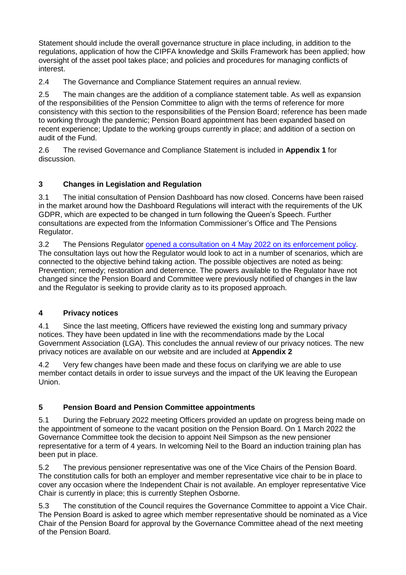Statement should include the overall governance structure in place including, in addition to the regulations, application of how the CIPFA knowledge and Skills Framework has been applied; how oversight of the asset pool takes place; and policies and procedures for managing conflicts of interest.

2.4 The Governance and Compliance Statement requires an annual review.

2.5 The main changes are the addition of a compliance statement table. As well as expansion of the responsibilities of the Pension Committee to align with the terms of reference for more consistency with this section to the responsibilities of the Pension Board; reference has been made to working through the pandemic; Pension Board appointment has been expanded based on recent experience; Update to the working groups currently in place; and addition of a section on audit of the Fund.

2.6 The revised Governance and Compliance Statement is included in **Appendix 1** for discussion.

## **3 Changes in Legislation and Regulation**

3.1 The initial consultation of Pension Dashboard has now closed. Concerns have been raised in the market around how the Dashboard Regulations will interact with the requirements of the UK GDPR, which are expected to be changed in turn following the Queen's Speech. Further consultations are expected from the Information Commissioner's Office and The Pensions Regulator.

3.2 The Pensions Regulator [opened a consultation on 4 May 2022 on its enforcement policy.](https://www.thepensionsregulator.gov.uk/en/document-library/consultations/enforcement-and-prosecution-policies-consultation) The consultation lays out how the Regulator would look to act in a number of scenarios, which are connected to the objective behind taking action. The possible objectives are noted as being: Prevention; remedy; restoration and deterrence. The powers available to the Regulator have not changed since the Pension Board and Committee were previously notified of changes in the law and the Regulator is seeking to provide clarity as to its proposed approach.

## **4 Privacy notices**

4.1 Since the last meeting, Officers have reviewed the existing long and summary privacy notices. They have been updated in line with the recommendations made by the Local Government Association (LGA). This concludes the annual review of our privacy notices. The new privacy notices are available on our website and are included at **Appendix 2**

4.2 Very few changes have been made and these focus on clarifying we are able to use member contact details in order to issue surveys and the impact of the UK leaving the European Union.

## **5 Pension Board and Pension Committee appointments**

5.1 During the February 2022 meeting Officers provided an update on progress being made on the appointment of someone to the vacant position on the Pension Board. On 1 March 2022 the Governance Committee took the decision to appoint Neil Simpson as the new pensioner representative for a term of 4 years. In welcoming Neil to the Board an induction training plan has been put in place.

5.2 The previous pensioner representative was one of the Vice Chairs of the Pension Board. The constitution calls for both an employer and member representative vice chair to be in place to cover any occasion where the Independent Chair is not available. An employer representative Vice Chair is currently in place; this is currently Stephen Osborne.

5.3 The constitution of the Council requires the Governance Committee to appoint a Vice Chair. The Pension Board is asked to agree which member representative should be nominated as a Vice Chair of the Pension Board for approval by the Governance Committee ahead of the next meeting of the Pension Board.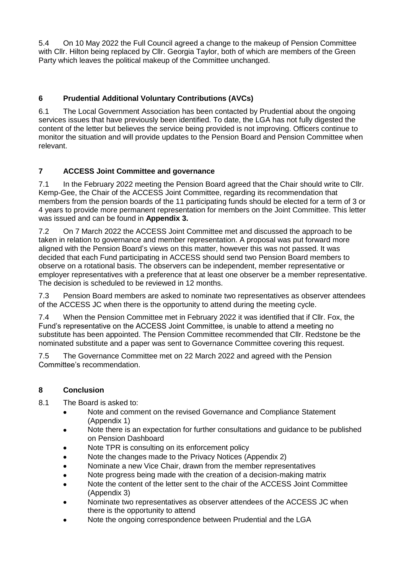5.4 On 10 May 2022 the Full Council agreed a change to the makeup of Pension Committee with Cllr. Hilton being replaced by Cllr. Georgia Taylor, both of which are members of the Green Party which leaves the political makeup of the Committee unchanged.

# **6 Prudential Additional Voluntary Contributions (AVCs)**

6.1 The Local Government Association has been contacted by Prudential about the ongoing services issues that have previously been identified. To date, the LGA has not fully digested the content of the letter but believes the service being provided is not improving. Officers continue to monitor the situation and will provide updates to the Pension Board and Pension Committee when relevant.

## **7 ACCESS Joint Committee and governance**

7.1 In the February 2022 meeting the Pension Board agreed that the Chair should write to Cllr. Kemp-Gee, the Chair of the ACCESS Joint Committee, regarding its recommendation that members from the pension boards of the 11 participating funds should be elected for a term of 3 or 4 years to provide more permanent representation for members on the Joint Committee. This letter was issued and can be found in **Appendix 3.**

7.2 On 7 March 2022 the ACCESS Joint Committee met and discussed the approach to be taken in relation to governance and member representation. A proposal was put forward more aligned with the Pension Board's views on this matter, however this was not passed. It was decided that each Fund participating in ACCESS should send two Pension Board members to observe on a rotational basis. The observers can be independent, member representative or employer representatives with a preference that at least one observer be a member representative. The decision is scheduled to be reviewed in 12 months.

7.3 Pension Board members are asked to nominate two representatives as observer attendees of the ACCESS JC when there is the opportunity to attend during the meeting cycle.

7.4 When the Pension Committee met in February 2022 it was identified that if Cllr. Fox, the Fund's representative on the ACCESS Joint Committee, is unable to attend a meeting no substitute has been appointed. The Pension Committee recommended that Cllr. Redstone be the nominated substitute and a paper was sent to Governance Committee covering this request.

7.5 The Governance Committee met on 22 March 2022 and agreed with the Pension Committee's recommendation.

## **8 Conclusion**

- 8.1 The Board is asked to:
	- Note and comment on the revised Governance and Compliance Statement (Appendix 1)
	- Note there is an expectation for further consultations and guidance to be published on Pension Dashboard
	- Note TPR is consulting on its enforcement policy
	- Note the changes made to the Privacy Notices (Appendix 2)
	- Nominate a new Vice Chair, drawn from the member representatives
	- Note progress being made with the creation of a decision-making matrix
	- Note the content of the letter sent to the chair of the ACCESS Joint Committee (Appendix 3)
	- Nominate two representatives as observer attendees of the ACCESS JC when there is the opportunity to attend
	- Note the ongoing correspondence between Prudential and the LGA